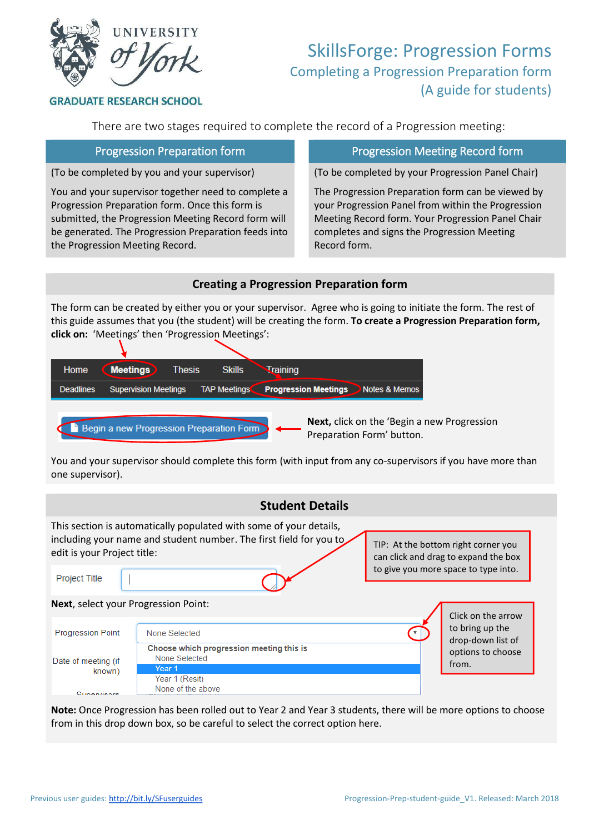

# SkillsForge: Progression Forms Completing a Progression Preparation form (A guide for students)

**GRADUATE RESEARCH SCHOOL** 

There are two stages required to complete the record of a Progression meeting:

(To be completed by you and your supervisor)

You and your supervisor together need to complete a Progression Preparation form. Once this form is submitted, the Progression Meeting Record form will be generated. The Progression Preparation feeds into the Progression Meeting Record.

## Progression Preparation form **Progression Meeting Record form**

(To be completed by your Progression Panel Chair)

The Progression Preparation form can be viewed by your Progression Panel from within the Progression Meeting Record form. Your Progression Panel Chair completes and signs the Progression Meeting Record form.

#### **Creating a Progression Preparation form**

The form can be created by either you or your supervisor. Agree who is going to initiate the form. The rest of this guide assumes that you (the student) will be creating the form. **To create a Progression Preparation form, click on:** 'Meetings' then 'Progression Meetings':



You and your supervisor should complete this form (with input from any co-supervisors if you have more than one supervisor).

|                                             | <b>Student Details</b>                                                                                                                   |                                                                             |                                      |  |
|---------------------------------------------|------------------------------------------------------------------------------------------------------------------------------------------|-----------------------------------------------------------------------------|--------------------------------------|--|
| edit is your Project title:                 | This section is automatically populated with some of your details,<br>including your name and student number. The first field for you to | TIP: At the bottom right corner you<br>can click and drag to expand the box |                                      |  |
| <b>Project Title</b>                        |                                                                                                                                          |                                                                             | to give you more space to type into. |  |
| <b>Next, select your Progression Point:</b> | Click on the arrow                                                                                                                       |                                                                             |                                      |  |
| <b>Progression Point</b>                    | None Selected                                                                                                                            |                                                                             | to bring up the<br>drop-down list of |  |
| Date of meeting (if<br>known)               | Choose which progression meeting this is<br>None Selected<br>Year 1<br>Year 1 (Resit)                                                    |                                                                             | options to choose<br>from.           |  |
| Supervisore                                 | None of the above                                                                                                                        |                                                                             |                                      |  |

**Note:** Once Progression has been rolled out to Year 2 and Year 3 students, there will be more options to choose from in this drop down box, so be careful to select the correct option here.